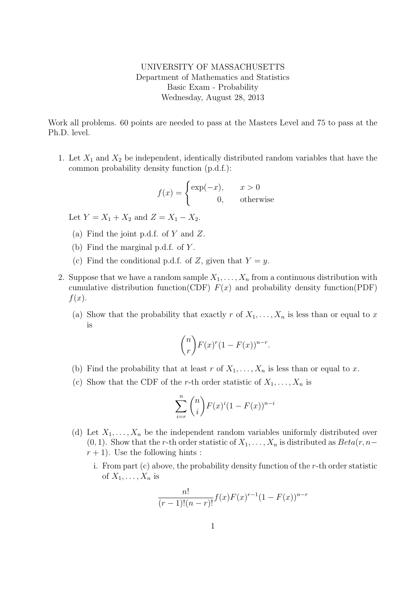UNIVERSITY OF MASSACHUSETTS Department of Mathematics and Statistics Basic Exam - Probability Wednesday, August 28, 2013

Work all problems. 60 points are needed to pass at the Masters Level and 75 to pass at the Ph.D. level.

1. Let  $X_1$  and  $X_2$  be independent, identically distributed random variables that have the common probability density function (p.d.f.):

$$
f(x) = \begin{cases} \exp(-x), & x > 0\\ 0, & \text{otherwise} \end{cases}
$$

Let  $Y = X_1 + X_2$  and  $Z = X_1 - X_2$ .

- (a) Find the joint p.d.f. of Y and Z.
- (b) Find the marginal p.d.f. of Y .
- (c) Find the conditional p.d.f. of Z, given that  $Y = y$ .
- 2. Suppose that we have a random sample  $X_1, \ldots, X_n$  from a continuous distribution with cumulative distribution function(CDF)  $F(x)$  and probability density function(PDF)  $f(x)$ .
	- (a) Show that the probability that exactly r of  $X_1, \ldots, X_n$  is less than or equal to x is

$$
\binom{n}{r} F(x)^r (1 - F(x))^{n-r}.
$$

- (b) Find the probability that at least r of  $X_1, \ldots, X_n$  is less than or equal to x.
- (c) Show that the CDF of the r-th order statistic of  $X_1, \ldots, X_n$  is

$$
\sum_{i=r}^{n} \binom{n}{i} F(x)^{i} (1 - F(x))^{n-i}
$$

- (d) Let  $X_1, \ldots, X_n$  be the independent random variables uniformly distributed over  $(0, 1)$ . Show that the r-th order statistic of  $X_1, \ldots, X_n$  is distributed as  $Beta(r, n-\alpha)$  $r + 1$ ). Use the following hints:
	- i. From part (c) above, the probability density function of the r-th order statistic of  $X_1, \ldots, X_n$  is

$$
\frac{n!}{(r-1)!(n-r)!}f(x)F(x)^{r-1}(1-F(x))^{n-r}
$$